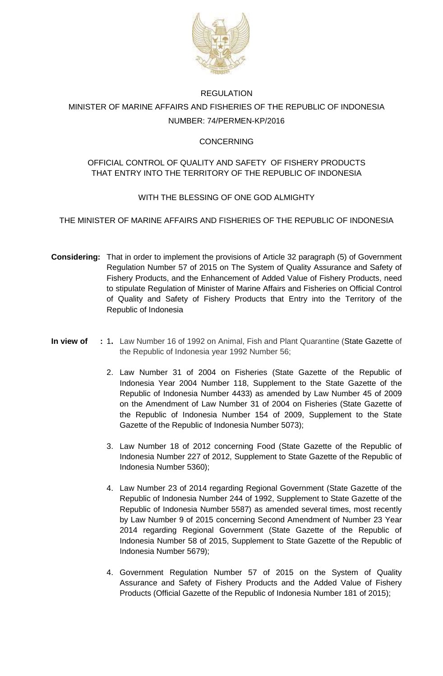

# REGULATION MINISTER OF MARINE AFFAIRS AND FISHERIES OF THE REPUBLIC OF INDONESIA NUMBER: 74/PERMEN-KP/2016

# **CONCERNING**

# OFFICIAL CONTROL OF QUALITY AND SAFETY OF FISHERY PRODUCTS THAT ENTRY INTO THE TERRITORY OF THE REPUBLIC OF INDONESIA

# WITH THE BLESSING OF ONE GOD ALMIGHTY

THE MINISTER OF MARINE AFFAIRS AND FISHERIES OF THE REPUBLIC OF INDONESIA

- **Considering:** That in order to implement the provisions of Article 32 paragraph (5) of Government Regulation Number 57 of 2015 on The System of Quality Assurance and Safety of Fishery Products, and the Enhancement of Added Value of Fishery Products, need to stipulate Regulation of Minister of Marine Affairs and Fisheries on Official Control of Quality and Safety of Fishery Products that Entry into the Territory of the Republic of Indonesia
- **In view of :** 1**.** Law Number 16 of 1992 on Animal, Fish and Plant Quarantine (State Gazette of the Republic of Indonesia year 1992 Number 56;
	- 2. Law Number 31 of 2004 on Fisheries (State Gazette of the Republic of Indonesia Year 2004 Number 118, Supplement to the State Gazette of the Republic of Indonesia Number 4433) as amended by Law Number 45 of 2009 on the Amendment of Law Number 31 of 2004 on Fisheries (State Gazette of the Republic of Indonesia Number 154 of 2009, Supplement to the State Gazette of the Republic of Indonesia Number 5073);
	- 3. Law Number 18 of 2012 concerning Food (State Gazette of the Republic of Indonesia Number 227 of 2012, Supplement to State Gazette of the Republic of Indonesia Number 5360);
	- 4. Law Number 23 of 2014 regarding Regional Government (State Gazette of the Republic of Indonesia Number 244 of 1992, Supplement to State Gazette of the Republic of Indonesia Number 5587) as amended several times, most recently by Law Number 9 of 2015 concerning Second Amendment of Number 23 Year 2014 regarding Regional Government (State Gazette of the Republic of Indonesia Number 58 of 2015, Supplement to State Gazette of the Republic of Indonesia Number 5679);
	- 4. Government Regulation Number 57 of 2015 on the System of Quality Assurance and Safety of Fishery Products and the Added Value of Fishery Products (Official Gazette of the Republic of Indonesia Number 181 of 2015);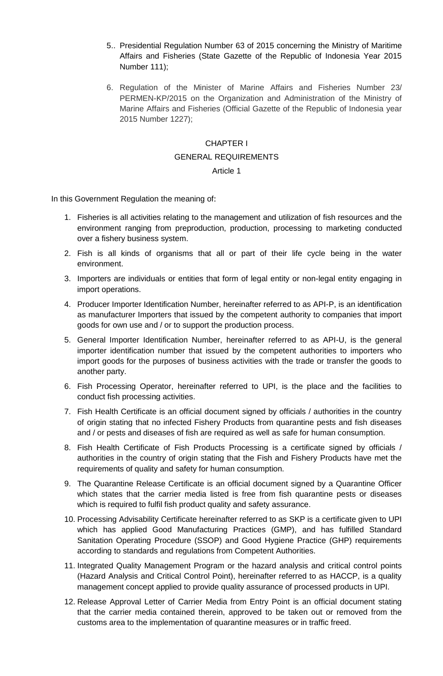- 5.. Presidential Regulation Number 63 of 2015 concerning the Ministry of Maritime Affairs and Fisheries (State Gazette of the Republic of Indonesia Year 2015 Number 111);
- 6. Regulation of the Minister of Marine Affairs and Fisheries Number 23/ PERMEN-KP/2015 on the Organization and Administration of the Ministry of Marine Affairs and Fisheries (Official Gazette of the Republic of Indonesia year 2015 Number 1227);

#### CHAPTER I

#### GENERAL REQUIREMENTS

#### Article 1

In this Government Regulation the meaning of:

- 1. Fisheries is all activities relating to the management and utilization of fish resources and the environment ranging from preproduction, production, processing to marketing conducted over a fishery business system.
- 2. Fish is all kinds of organisms that all or part of their life cycle being in the water environment.
- 3. Importers are individuals or entities that form of legal entity or non-legal entity engaging in import operations.
- 4. Producer Importer Identification Number, hereinafter referred to as API-P, is an identification as manufacturer Importers that issued by the competent authority to companies that import goods for own use and / or to support the production process.
- 5. General Importer Identification Number, hereinafter referred to as API-U, is the general importer identification number that issued by the competent authorities to importers who import goods for the purposes of business activities with the trade or transfer the goods to another party.
- 6. Fish Processing Operator, hereinafter referred to UPI, is the place and the facilities to conduct fish processing activities.
- 7. Fish Health Certificate is an official document signed by officials / authorities in the country of origin stating that no infected Fishery Products from quarantine pests and fish diseases and / or pests and diseases of fish are required as well as safe for human consumption.
- 8. Fish Health Certificate of Fish Products Processing is a certificate signed by officials / authorities in the country of origin stating that the Fish and Fishery Products have met the requirements of quality and safety for human consumption.
- 9. The Quarantine Release Certificate is an official document signed by a Quarantine Officer which states that the carrier media listed is free from fish quarantine pests or diseases which is required to fulfil fish product quality and safety assurance.
- 10. Processing Advisability Certificate hereinafter referred to as SKP is a certificate given to UPI which has applied Good Manufacturing Practices (GMP), and has fulfilled Standard Sanitation Operating Procedure (SSOP) and Good Hygiene Practice (GHP) requirements according to standards and regulations from Competent Authorities.
- 11. Integrated Quality Management Program or the hazard analysis and critical control points (Hazard Analysis and Critical Control Point), hereinafter referred to as HACCP, is a quality management concept applied to provide quality assurance of processed products in UPI.
- 12. Release Approval Letter of Carrier Media from Entry Point is an official document stating that the carrier media contained therein, approved to be taken out or removed from the customs area to the implementation of quarantine measures or in traffic freed.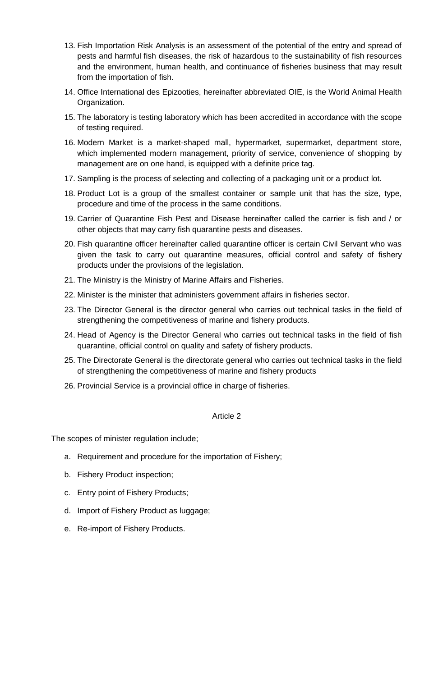- 13. Fish Importation Risk Analysis is an assessment of the potential of the entry and spread of pests and harmful fish diseases, the risk of hazardous to the sustainability of fish resources and the environment, human health, and continuance of fisheries business that may result from the importation of fish.
- 14. Office International des Epizooties, hereinafter abbreviated OIE, is the World Animal Health Organization.
- 15. The laboratory is testing laboratory which has been accredited in accordance with the scope of testing required.
- 16. Modern Market is a market-shaped mall, hypermarket, supermarket, department store, which implemented modern management, priority of service, convenience of shopping by management are on one hand, is equipped with a definite price tag.
- 17. Sampling is the process of selecting and collecting of a packaging unit or a product lot.
- 18. Product Lot is a group of the smallest container or sample unit that has the size, type, procedure and time of the process in the same conditions.
- 19. Carrier of Quarantine Fish Pest and Disease hereinafter called the carrier is fish and / or other objects that may carry fish quarantine pests and diseases.
- 20. Fish quarantine officer hereinafter called quarantine officer is certain Civil Servant who was given the task to carry out quarantine measures, official control and safety of fishery products under the provisions of the legislation.
- 21. The Ministry is the Ministry of Marine Affairs and Fisheries.
- 22. Minister is the minister that administers government affairs in fisheries sector.
- 23. The Director General is the director general who carries out technical tasks in the field of strengthening the competitiveness of marine and fishery products.
- 24. Head of Agency is the Director General who carries out technical tasks in the field of fish quarantine, official control on quality and safety of fishery products.
- 25. The Directorate General is the directorate general who carries out technical tasks in the field of strengthening the competitiveness of marine and fishery products
- 26. Provincial Service is a provincial office in charge of fisheries.

The scopes of minister regulation include;

- a. Requirement and procedure for the importation of Fishery;
- b. Fishery Product inspection;
- c. Entry point of Fishery Products;
- d. Import of Fishery Product as luggage;
- e. Re-import of Fishery Products.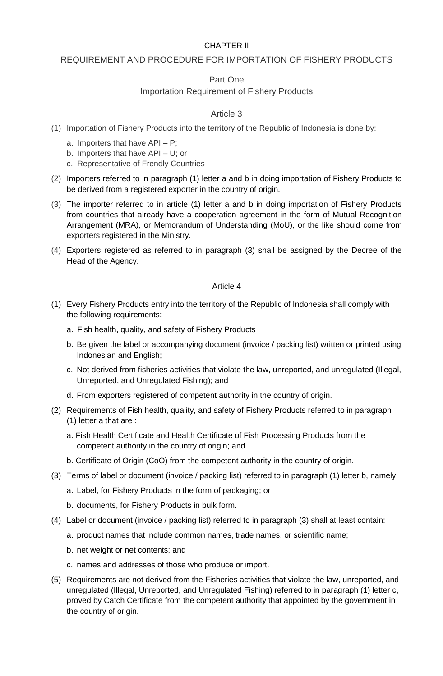# CHAPTER II

# REQUIREMENT AND PROCEDURE FOR IMPORTATION OF FISHERY PRODUCTS

# Part One

# Importation Requirement of Fishery Products

# Article 3

- (1) Importation of Fishery Products into the territory of the Republic of Indonesia is done by:
	- a. Importers that have API P;
	- b. Importers that have API U; or
	- c. Representative of Frendly Countries
- (2) Importers referred to in paragraph (1) letter a and b in doing importation of Fishery Products to be derived from a registered exporter in the country of origin.
- (3) The importer referred to in article (1) letter a and b in doing importation of Fishery Products from countries that already have a cooperation agreement in the form of Mutual Recognition Arrangement (MRA), or Memorandum of Understanding (MoU), or the like should come from exporters registered in the Ministry.
- (4) Exporters registered as referred to in paragraph (3) shall be assigned by the Decree of the Head of the Agency.

- (1) Every Fishery Products entry into the territory of the Republic of Indonesia shall comply with the following requirements:
	- a. Fish health, quality, and safety of Fishery Products
	- b. Be given the label or accompanying document (invoice / packing list) written or printed using Indonesian and English;
	- c. Not derived from fisheries activities that violate the law, unreported, and unregulated (Illegal, Unreported, and Unregulated Fishing); and
	- d. From exporters registered of competent authority in the country of origin.
- (2) Requirements of Fish health, quality, and safety of Fishery Products referred to in paragraph (1) letter a that are :
	- a. Fish Health Certificate and Health Certificate of Fish Processing Products from the competent authority in the country of origin; and
	- b. Certificate of Origin (CoO) from the competent authority in the country of origin.
- (3) Terms of label or document (invoice / packing list) referred to in paragraph (1) letter b, namely:
	- a. Label, for Fishery Products in the form of packaging; or
	- b. documents, for Fishery Products in bulk form.
- (4) Label or document (invoice / packing list) referred to in paragraph (3) shall at least contain:
	- a. product names that include common names, trade names, or scientific name;
	- b. net weight or net contents; and
	- c. names and addresses of those who produce or import.
- (5) Requirements are not derived from the Fisheries activities that violate the law, unreported, and unregulated (Illegal, Unreported, and Unregulated Fishing) referred to in paragraph (1) letter c, proved by Catch Certificate from the competent authority that appointed by the government in the country of origin.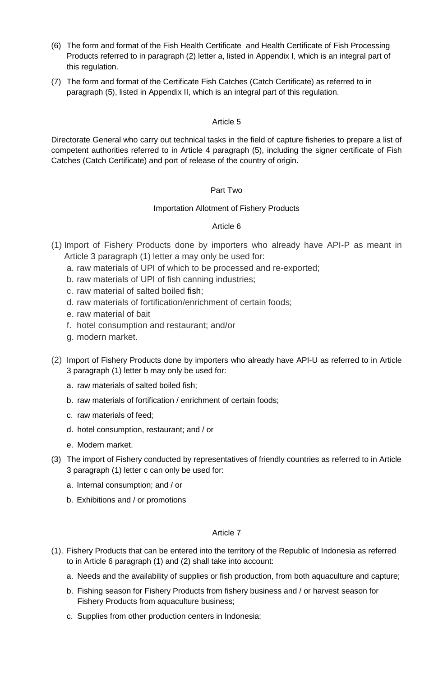- (6) The form and format of the Fish Health Certificate and Health Certificate of Fish Processing Products referred to in paragraph (2) letter a, listed in Appendix I, which is an integral part of this regulation.
- (7) The form and format of the Certificate Fish Catches (Catch Certificate) as referred to in paragraph (5), listed in Appendix II, which is an integral part of this regulation.

Directorate General who carry out technical tasks in the field of capture fisheries to prepare a list of competent authorities referred to in Article 4 paragraph (5), including the signer certificate of Fish Catches (Catch Certificate) and port of release of the country of origin.

# Part Two

# Importation Allotment of Fishery Products

# Article 6

- (1) Import of Fishery Products done by importers who already have API-P as meant in Article 3 paragraph (1) letter a may only be used for:
	- a. raw materials of UPI of which to be processed and re-exported;
	- b. raw materials of UPI of fish canning industries;
	- c. raw material of salted boiled fish;
	- d. raw materials of fortification/enrichment of certain foods;
	- e. raw material of bait
	- f. hotel consumption and restaurant; and/or
	- g. modern market.
- (2) Import of Fishery Products done by importers who already have API-U as referred to in Article 3 paragraph (1) letter b may only be used for:
	- a. raw materials of salted boiled fish;
	- b. raw materials of fortification / enrichment of certain foods;
	- c. raw materials of feed;
	- d. hotel consumption, restaurant; and / or
	- e. Modern market.
- (3) The import of Fishery conducted by representatives of friendly countries as referred to in Article 3 paragraph (1) letter c can only be used for:
	- a. Internal consumption; and / or
	- b. Exhibitions and / or promotions

- (1). Fishery Products that can be entered into the territory of the Republic of Indonesia as referred to in Article 6 paragraph (1) and (2) shall take into account:
	- a. Needs and the availability of supplies or fish production, from both aquaculture and capture;
	- b. Fishing season for Fishery Products from fishery business and / or harvest season for Fishery Products from aquaculture business;
	- c. Supplies from other production centers in Indonesia;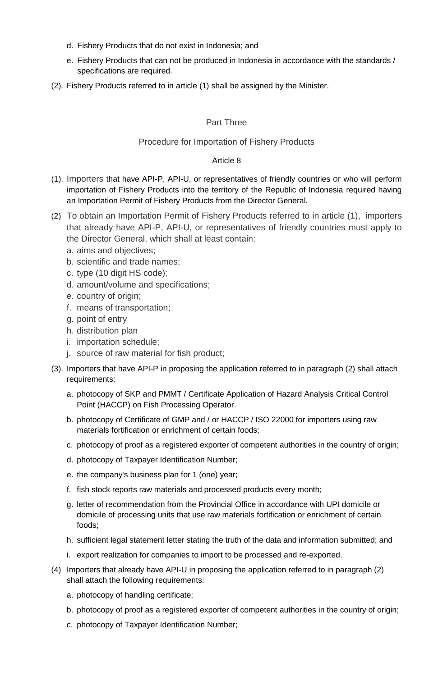- d. Fishery Products that do not exist in Indonesia; and
- e. Fishery Products that can not be produced in Indonesia in accordance with the standards / specifications are required.
- (2). Fishery Products referred to in article (1) shall be assigned by the Minister.

# Part Three

# Procedure for Importation of Fishery Products

- (1). Importers that have API-P, API-U, or representatives of friendly countries or who will perform importation of Fishery Products into the territory of the Republic of Indonesia required having an Importation Permit of Fishery Products from the Director General.
- (2) To obtain an Importation Permit of Fishery Products referred to in article (1), importers that already have API-P, API-U, or representatives of friendly countries must apply to the Director General, which shall at least contain:
	- a. aims and objectives;
	- b. scientific and trade names;
	- c. type (10 digit HS code);
	- d. amount/volume and specifications;
	- e. country of origin;
	- f. means of transportation;
	- g. point of entry
	- h. distribution plan
	- i. importation schedule;
	- j. source of raw material for fish product;
- (3). Importers that have API-P in proposing the application referred to in paragraph (2) shall attach requirements:
	- a. photocopy of SKP and PMMT / Certificate Application of Hazard Analysis Critical Control Point (HACCP) on Fish Processing Operator.
	- b. photocopy of Certificate of GMP and / or HACCP / ISO 22000 for importers using raw materials fortification or enrichment of certain foods;
	- c. photocopy of proof as a registered exporter of competent authorities in the country of origin;
	- d. photocopy of Taxpayer Identification Number;
	- e. the company's business plan for 1 (one) year;
	- f. fish stock reports raw materials and processed products every month;
	- g. letter of recommendation from the Provincial Office in accordance with UPI domicile or domicile of processing units that use raw materials fortification or enrichment of certain foods;
	- h. sufficient legal statement letter stating the truth of the data and information submitted; and
	- i. export realization for companies to import to be processed and re-exported.
- (4) Importers that already have API-U in proposing the application referred to in paragraph (2) shall attach the following requirements:
	- a. photocopy of handling certificate;
	- b. photocopy of proof as a registered exporter of competent authorities in the country of origin;
	- c. photocopy of Taxpayer Identification Number;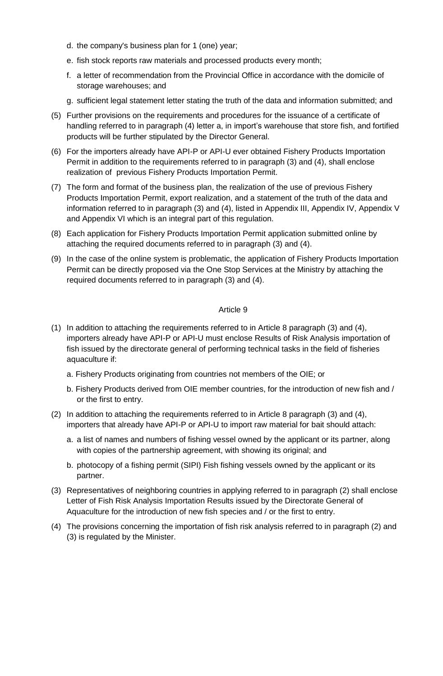- d. the company's business plan for 1 (one) year;
- e. fish stock reports raw materials and processed products every month;
- f. a letter of recommendation from the Provincial Office in accordance with the domicile of storage warehouses; and
- g. sufficient legal statement letter stating the truth of the data and information submitted; and
- (5) Further provisions on the requirements and procedures for the issuance of a certificate of handling referred to in paragraph (4) letter a, in import's warehouse that store fish, and fortified products will be further stipulated by the Director General.
- (6) For the importers already have API-P or API-U ever obtained Fishery Products Importation Permit in addition to the requirements referred to in paragraph (3) and (4), shall enclose realization of previous Fishery Products Importation Permit.
- (7) The form and format of the business plan, the realization of the use of previous Fishery Products Importation Permit, export realization, and a statement of the truth of the data and information referred to in paragraph (3) and (4), listed in Appendix III, Appendix IV, Appendix V and Appendix VI which is an integral part of this regulation.
- (8) Each application for Fishery Products Importation Permit application submitted online by attaching the required documents referred to in paragraph (3) and (4).
- (9) In the case of the online system is problematic, the application of Fishery Products Importation Permit can be directly proposed via the One Stop Services at the Ministry by attaching the required documents referred to in paragraph (3) and (4).

- (1) In addition to attaching the requirements referred to in Article 8 paragraph (3) and (4), importers already have API-P or API-U must enclose Results of Risk Analysis importation of fish issued by the directorate general of performing technical tasks in the field of fisheries aquaculture if:
	- a. Fishery Products originating from countries not members of the OIE; or
	- b. Fishery Products derived from OIE member countries, for the introduction of new fish and / or the first to entry.
- (2) In addition to attaching the requirements referred to in Article 8 paragraph (3) and (4), importers that already have API-P or API-U to import raw material for bait should attach:
	- a. a list of names and numbers of fishing vessel owned by the applicant or its partner, along with copies of the partnership agreement, with showing its original; and
	- b. photocopy of a fishing permit (SIPI) Fish fishing vessels owned by the applicant or its partner.
- (3) Representatives of neighboring countries in applying referred to in paragraph (2) shall enclose Letter of Fish Risk Analysis Importation Results issued by the Directorate General of Aquaculture for the introduction of new fish species and / or the first to entry.
- (4) The provisions concerning the importation of fish risk analysis referred to in paragraph (2) and (3) is regulated by the Minister.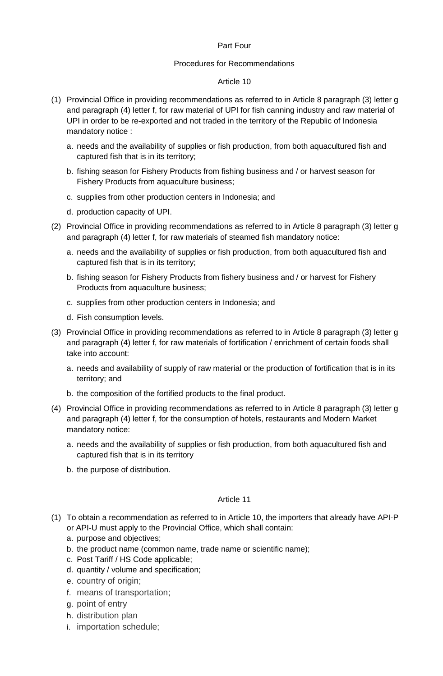#### Part Four

#### Procedures for Recommendations

#### Article 10

- (1) Provincial Office in providing recommendations as referred to in Article 8 paragraph (3) letter g and paragraph (4) letter f, for raw material of UPI for fish canning industry and raw material of UPI in order to be re-exported and not traded in the territory of the Republic of Indonesia mandatory notice :
	- a. needs and the availability of supplies or fish production, from both aquacultured fish and captured fish that is in its territory;
	- b. fishing season for Fishery Products from fishing business and / or harvest season for Fishery Products from aquaculture business;
	- c. supplies from other production centers in Indonesia; and
	- d. production capacity of UPI.
- (2) Provincial Office in providing recommendations as referred to in Article 8 paragraph (3) letter g and paragraph (4) letter f, for raw materials of steamed fish mandatory notice:
	- a. needs and the availability of supplies or fish production, from both aquacultured fish and captured fish that is in its territory;
	- b. fishing season for Fishery Products from fishery business and / or harvest for Fishery Products from aquaculture business;
	- c. supplies from other production centers in Indonesia; and
	- d. Fish consumption levels.
- (3) Provincial Office in providing recommendations as referred to in Article 8 paragraph (3) letter g and paragraph (4) letter f, for raw materials of fortification / enrichment of certain foods shall take into account:
	- a. needs and availability of supply of raw material or the production of fortification that is in its territory; and
	- b. the composition of the fortified products to the final product.
- (4) Provincial Office in providing recommendations as referred to in Article 8 paragraph (3) letter g and paragraph (4) letter f, for the consumption of hotels, restaurants and Modern Market mandatory notice:
	- a. needs and the availability of supplies or fish production, from both aquacultured fish and captured fish that is in its territory
	- b. the purpose of distribution.

- (1) To obtain a recommendation as referred to in Article 10, the importers that already have API-P or API-U must apply to the Provincial Office, which shall contain:
	- a. purpose and objectives;
	- b. the product name (common name, trade name or scientific name);
	- c. Post Tariff / HS Code applicable;
	- d. quantity / volume and specification;
	- e. country of origin;
	- f. means of transportation;
	- g. point of entry
	- h. distribution plan
	- i. importation schedule;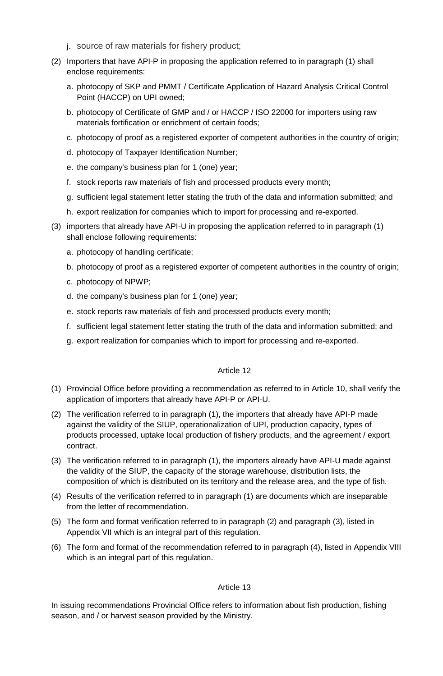- j. source of raw materials for fishery product;
- (2) Importers that have API-P in proposing the application referred to in paragraph (1) shall enclose requirements:
	- a. photocopy of SKP and PMMT / Certificate Application of Hazard Analysis Critical Control Point (HACCP) on UPI owned;
	- b. photocopy of Certificate of GMP and / or HACCP / ISO 22000 for importers using raw materials fortification or enrichment of certain foods;
	- c. photocopy of proof as a registered exporter of competent authorities in the country of origin;
	- d. photocopy of Taxpayer Identification Number;
	- e. the company's business plan for 1 (one) year;
	- f. stock reports raw materials of fish and processed products every month;
	- g. sufficient legal statement letter stating the truth of the data and information submitted; and
	- h. export realization for companies which to import for processing and re-exported.
- (3) importers that already have API-U in proposing the application referred to in paragraph (1) shall enclose following requirements:
	- a. photocopy of handling certificate;
	- b. photocopy of proof as a registered exporter of competent authorities in the country of origin;
	- c. photocopy of NPWP;
	- d. the company's business plan for 1 (one) year;
	- e. stock reports raw materials of fish and processed products every month;
	- f. sufficient legal statement letter stating the truth of the data and information submitted; and
	- g. export realization for companies which to import for processing and re-exported.

- (1) Provincial Office before providing a recommendation as referred to in Article 10, shall verify the application of importers that already have API-P or API-U.
- (2) The verification referred to in paragraph (1), the importers that already have API-P made against the validity of the SIUP, operationalization of UPI, production capacity, types of products processed, uptake local production of fishery products, and the agreement / export contract.
- (3) The verification referred to in paragraph (1), the importers already have API-U made against the validity of the SIUP, the capacity of the storage warehouse, distribution lists, the composition of which is distributed on its territory and the release area, and the type of fish.
- (4) Results of the verification referred to in paragraph (1) are documents which are inseparable from the letter of recommendation.
- (5) The form and format verification referred to in paragraph (2) and paragraph (3), listed in Appendix VII which is an integral part of this regulation.
- (6) The form and format of the recommendation referred to in paragraph (4), listed in Appendix VIII which is an integral part of this regulation.

# Article 13

In issuing recommendations Provincial Office refers to information about fish production, fishing season, and / or harvest season provided by the Ministry.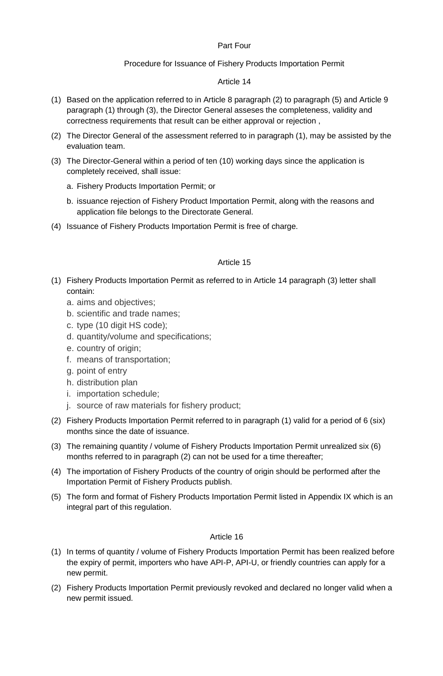# Part Four

# Procedure for Issuance of Fishery Products Importation Permit

# Article 14

- (1) Based on the application referred to in Article 8 paragraph (2) to paragraph (5) and Article 9 paragraph (1) through (3), the Director General asseses the completeness, validity and correctness requirements that result can be either approval or rejection ,
- (2) The Director General of the assessment referred to in paragraph (1), may be assisted by the evaluation team.
- (3) The Director-General within a period of ten (10) working days since the application is completely received, shall issue:
	- a. Fishery Products Importation Permit; or
	- b. issuance rejection of Fishery Product Importation Permit, along with the reasons and application file belongs to the Directorate General.
- (4) Issuance of Fishery Products Importation Permit is free of charge.

# Article 15

- (1) Fishery Products Importation Permit as referred to in Article 14 paragraph (3) letter shall contain:
	- a. aims and objectives;
	- b. scientific and trade names;
	- c. type (10 digit HS code);
	- d. quantity/volume and specifications;
	- e. country of origin;
	- f. means of transportation;
	- g. point of entry
	- h. distribution plan
	- i. importation schedule;
	- j. source of raw materials for fishery product;
- (2) Fishery Products Importation Permit referred to in paragraph (1) valid for a period of 6 (six) months since the date of issuance.
- (3) The remaining quantity / volume of Fishery Products Importation Permit unrealized six (6) months referred to in paragraph (2) can not be used for a time thereafter;
- (4) The importation of Fishery Products of the country of origin should be performed after the Importation Permit of Fishery Products publish.
- (5) The form and format of Fishery Products Importation Permit listed in Appendix IX which is an integral part of this regulation.

- (1) In terms of quantity / volume of Fishery Products Importation Permit has been realized before the expiry of permit, importers who have API-P, API-U, or friendly countries can apply for a new permit.
- (2) Fishery Products Importation Permit previously revoked and declared no longer valid when a new permit issued.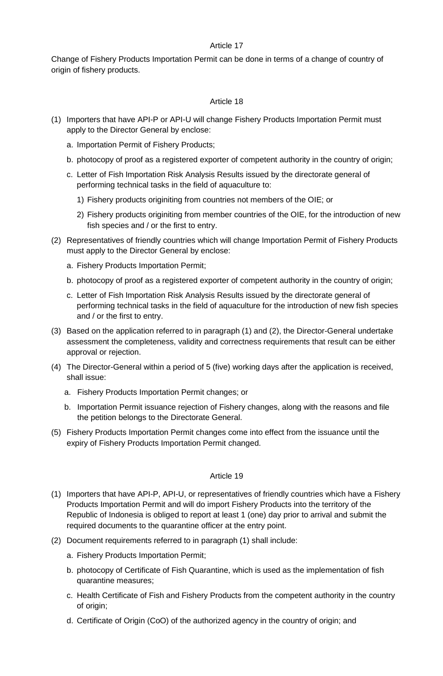Change of Fishery Products Importation Permit can be done in terms of a change of country of origin of fishery products.

# Article 18

- (1) Importers that have API-P or API-U will change Fishery Products Importation Permit must apply to the Director General by enclose:
	- a. Importation Permit of Fishery Products;
	- b. photocopy of proof as a registered exporter of competent authority in the country of origin;
	- c. Letter of Fish Importation Risk Analysis Results issued by the directorate general of performing technical tasks in the field of aquaculture to:
		- 1) Fishery products originiting from countries not members of the OIE; or
		- 2) Fishery products originiting from member countries of the OIE, for the introduction of new fish species and / or the first to entry.
- (2) Representatives of friendly countries which will change Importation Permit of Fishery Products must apply to the Director General by enclose:
	- a. Fishery Products Importation Permit;
	- b. photocopy of proof as a registered exporter of competent authority in the country of origin;
	- c. Letter of Fish Importation Risk Analysis Results issued by the directorate general of performing technical tasks in the field of aquaculture for the introduction of new fish species and / or the first to entry.
- (3) Based on the application referred to in paragraph (1) and (2), the Director-General undertake assessment the completeness, validity and correctness requirements that result can be either approval or rejection.
- (4) The Director-General within a period of 5 (five) working days after the application is received, shall issue:
	- a. Fishery Products Importation Permit changes; or
	- b. Importation Permit issuance rejection of Fishery changes, along with the reasons and file the petition belongs to the Directorate General.
- (5) Fishery Products Importation Permit changes come into effect from the issuance until the expiry of Fishery Products Importation Permit changed.

- (1) Importers that have API-P, API-U, or representatives of friendly countries which have a Fishery Products Importation Permit and will do import Fishery Products into the territory of the Republic of Indonesia is obliged to report at least 1 (one) day prior to arrival and submit the required documents to the quarantine officer at the entry point.
- (2) Document requirements referred to in paragraph (1) shall include:
	- a. Fishery Products Importation Permit;
	- b. photocopy of Certificate of Fish Quarantine, which is used as the implementation of fish quarantine measures;
	- c. Health Certificate of Fish and Fishery Products from the competent authority in the country of origin;
	- d. Certificate of Origin (CoO) of the authorized agency in the country of origin; and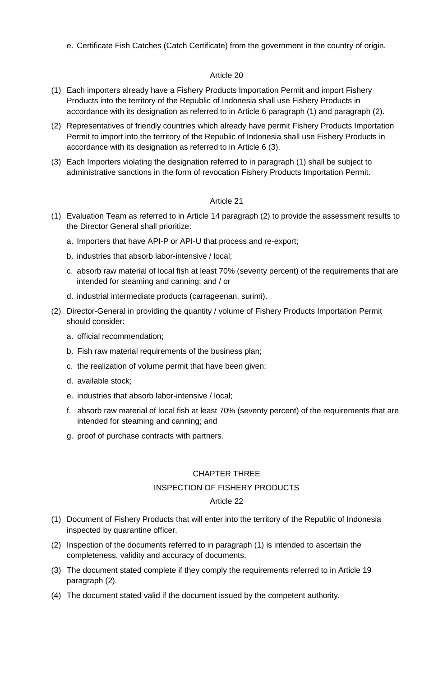e. Certificate Fish Catches (Catch Certificate) from the government in the country of origin.

# Article 20

- (1) Each importers already have a Fishery Products Importation Permit and import Fishery Products into the territory of the Republic of Indonesia shall use Fishery Products in accordance with its designation as referred to in Article 6 paragraph (1) and paragraph (2).
- (2) Representatives of friendly countries which already have permit Fishery Products Importation Permit to import into the territory of the Republic of Indonesia shall use Fishery Products in accordance with its designation as referred to in Article 6 (3).
- (3) Each Importers violating the designation referred to in paragraph (1) shall be subject to administrative sanctions in the form of revocation Fishery Products Importation Permit.

# Article 21

- (1) Evaluation Team as referred to in Article 14 paragraph (2) to provide the assessment results to the Director General shall prioritize:
	- a. Importers that have API-P or API-U that process and re-export;
	- b. industries that absorb labor-intensive / local;
	- c. absorb raw material of local fish at least 70% (seventy percent) of the requirements that are intended for steaming and canning; and / or
	- d. industrial intermediate products (carrageenan, surimi).
- (2) Director-General in providing the quantity / volume of Fishery Products Importation Permit should consider:
	- a. official recommendation;
	- b. Fish raw material requirements of the business plan;
	- c. the realization of volume permit that have been given;
	- d. available stock;
	- e. industries that absorb labor-intensive / local;
	- f. absorb raw material of local fish at least 70% (seventy percent) of the requirements that are intended for steaming and canning; and
	- g. proof of purchase contracts with partners.

# CHAPTER THREE

# INSPECTION OF FISHERY PRODUCTS

- (1) Document of Fishery Products that will enter into the territory of the Republic of Indonesia inspected by quarantine officer.
- (2) Inspection of the documents referred to in paragraph (1) is intended to ascertain the completeness, validity and accuracy of documents.
- (3) The document stated complete if they comply the requirements referred to in Article 19 paragraph (2).
- (4) The document stated valid if the document issued by the competent authority.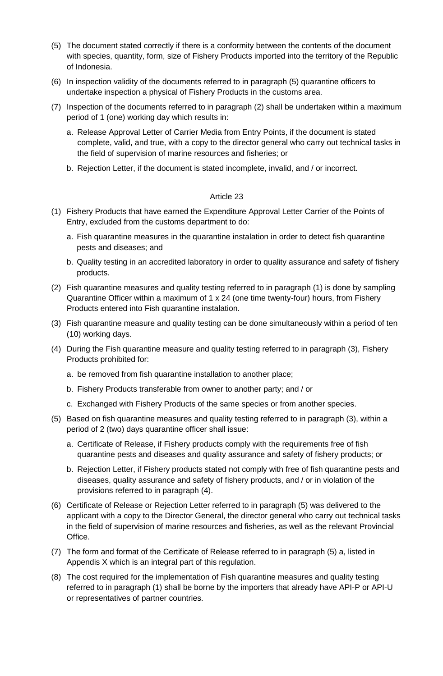- (5) The document stated correctly if there is a conformity between the contents of the document with species, quantity, form, size of Fishery Products imported into the territory of the Republic of Indonesia.
- (6) In inspection validity of the documents referred to in paragraph (5) quarantine officers to undertake inspection a physical of Fishery Products in the customs area.
- (7) Inspection of the documents referred to in paragraph (2) shall be undertaken within a maximum period of 1 (one) working day which results in:
	- a. Release Approval Letter of Carrier Media from Entry Points, if the document is stated complete, valid, and true, with a copy to the director general who carry out technical tasks in the field of supervision of marine resources and fisheries; or
	- b. Rejection Letter, if the document is stated incomplete, invalid, and / or incorrect.

- (1) Fishery Products that have earned the Expenditure Approval Letter Carrier of the Points of Entry, excluded from the customs department to do:
	- a. Fish quarantine measures in the quarantine instalation in order to detect fish quarantine pests and diseases; and
	- b. Quality testing in an accredited laboratory in order to quality assurance and safety of fishery products.
- (2) Fish quarantine measures and quality testing referred to in paragraph (1) is done by sampling Quarantine Officer within a maximum of 1 x 24 (one time twenty-four) hours, from Fishery Products entered into Fish quarantine instalation.
- (3) Fish quarantine measure and quality testing can be done simultaneously within a period of ten (10) working days.
- (4) During the Fish quarantine measure and quality testing referred to in paragraph (3), Fishery Products prohibited for:
	- a. be removed from fish quarantine installation to another place;
	- b. Fishery Products transferable from owner to another party; and / or
	- c. Exchanged with Fishery Products of the same species or from another species.
- (5) Based on fish quarantine measures and quality testing referred to in paragraph (3), within a period of 2 (two) days quarantine officer shall issue:
	- a. Certificate of Release, if Fishery products comply with the requirements free of fish quarantine pests and diseases and quality assurance and safety of fishery products; or
	- b. Rejection Letter, if Fishery products stated not comply with free of fish quarantine pests and diseases, quality assurance and safety of fishery products, and / or in violation of the provisions referred to in paragraph (4).
- (6) Certificate of Release or Rejection Letter referred to in paragraph (5) was delivered to the applicant with a copy to the Director General, the director general who carry out technical tasks in the field of supervision of marine resources and fisheries, as well as the relevant Provincial Office.
- (7) The form and format of the Certificate of Release referred to in paragraph (5) a, listed in Appendis X which is an integral part of this regulation.
- (8) The cost required for the implementation of Fish quarantine measures and quality testing referred to in paragraph (1) shall be borne by the importers that already have API-P or API-U or representatives of partner countries.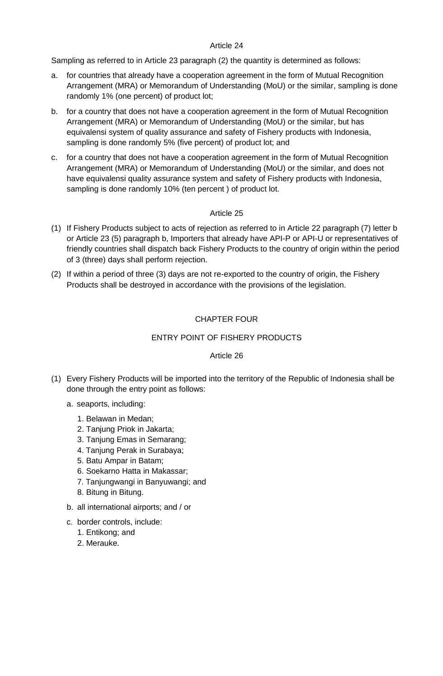Sampling as referred to in Article 23 paragraph (2) the quantity is determined as follows:

- a. for countries that already have a cooperation agreement in the form of Mutual Recognition Arrangement (MRA) or Memorandum of Understanding (MoU) or the similar, sampling is done randomly 1% (one percent) of product lot;
- b. for a country that does not have a cooperation agreement in the form of Mutual Recognition Arrangement (MRA) or Memorandum of Understanding (MoU) or the similar, but has equivalensi system of quality assurance and safety of Fishery products with Indonesia, sampling is done randomly 5% (five percent) of product lot; and
- c. for a country that does not have a cooperation agreement in the form of Mutual Recognition Arrangement (MRA) or Memorandum of Understanding (MoU) or the similar, and does not have equivalensi quality assurance system and safety of Fishery products with Indonesia, sampling is done randomly 10% (ten percent ) of product lot.

# Article 25

- (1) If Fishery Products subject to acts of rejection as referred to in Article 22 paragraph (7) letter b or Article 23 (5) paragraph b, Importers that already have API-P or API-U or representatives of friendly countries shall dispatch back Fishery Products to the country of origin within the period of 3 (three) days shall perform rejection.
- (2) If within a period of three (3) days are not re-exported to the country of origin, the Fishery Products shall be destroyed in accordance with the provisions of the legislation.

# CHAPTER FOUR

# ENTRY POINT OF FISHERY PRODUCTS

- (1) Every Fishery Products will be imported into the territory of the Republic of Indonesia shall be done through the entry point as follows:
	- a. seaports, including:
		- 1. Belawan in Medan;
		- 2. Tanjung Priok in Jakarta;
		- 3. Tanjung Emas in Semarang;
		- 4. Tanjung Perak in Surabaya;
		- 5. Batu Ampar in Batam;
		- 6. Soekarno Hatta in Makassar;
		- 7. Tanjungwangi in Banyuwangi; and
		- 8. Bitung in Bitung.
	- b. all international airports; and / or
	- c. border controls, include:
		- 1. Entikong; and
		- 2. Merauke.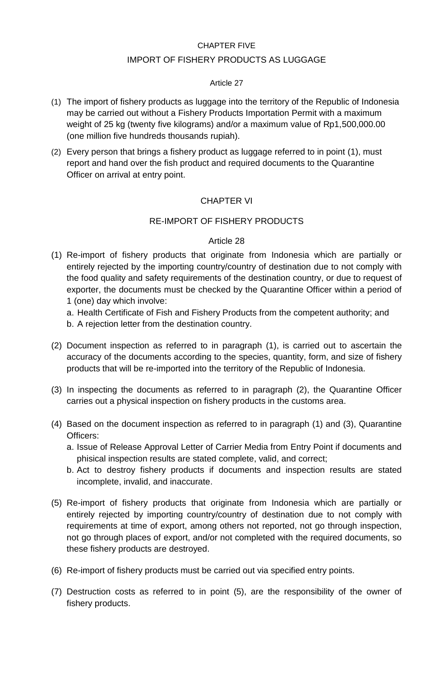# CHAPTER FIVE

# IMPORT OF FISHERY PRODUCTS AS LUGGAGE

# Article 27

- (1) The import of fishery products as luggage into the territory of the Republic of Indonesia may be carried out without a Fishery Products Importation Permit with a maximum weight of 25 kg (twenty five kilograms) and/or a maximum value of Rp1,500,000.00 (one million five hundreds thousands rupiah).
- (2) Every person that brings a fishery product as luggage referred to in point (1), must report and hand over the fish product and required documents to the Quarantine Officer on arrival at entry point.

# CHAPTER VI

# RE-IMPORT OF FISHERY PRODUCTS

- (1) Re-import of fishery products that originate from Indonesia which are partially or entirely rejected by the importing country/country of destination due to not comply with the food quality and safety requirements of the destination country, or due to request of exporter, the documents must be checked by the Quarantine Officer within a period of 1 (one) day which involve:
	- a. Health Certificate of Fish and Fishery Products from the competent authority; and
	- b. A rejection letter from the destination country.
- (2) Document inspection as referred to in paragraph (1), is carried out to ascertain the accuracy of the documents according to the species, quantity, form, and size of fishery products that will be re-imported into the territory of the Republic of Indonesia.
- (3) In inspecting the documents as referred to in paragraph (2), the Quarantine Officer carries out a physical inspection on fishery products in the customs area.
- (4) Based on the document inspection as referred to in paragraph (1) and (3), Quarantine Officers:
	- a. Issue of Release Approval Letter of Carrier Media from Entry Point if documents and phisical inspection results are stated complete, valid, and correct;
	- b. Act to destroy fishery products if documents and inspection results are stated incomplete, invalid, and inaccurate.
- (5) Re-import of fishery products that originate from Indonesia which are partially or entirely rejected by importing country/country of destination due to not comply with requirements at time of export, among others not reported, not go through inspection, not go through places of export, and/or not completed with the required documents, so these fishery products are destroyed.
- (6) Re-import of fishery products must be carried out via specified entry points.
- (7) Destruction costs as referred to in point (5), are the responsibility of the owner of fishery products.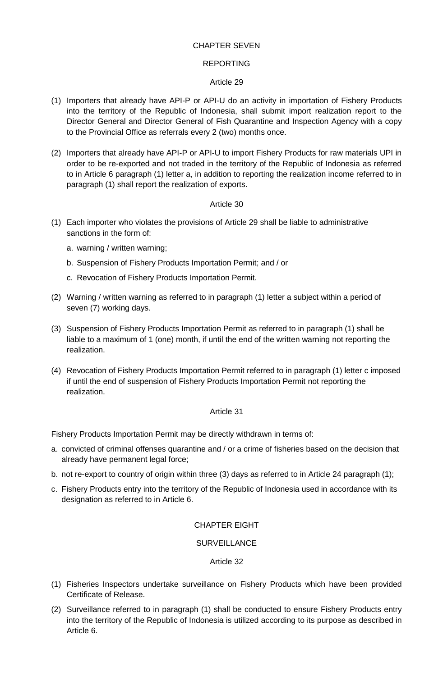# CHAPTER SEVEN

#### REPORTING

#### Article 29

- (1) Importers that already have API-P or API-U do an activity in importation of Fishery Products into the territory of the Republic of Indonesia, shall submit import realization report to the Director General and Director General of Fish Quarantine and Inspection Agency with a copy to the Provincial Office as referrals every 2 (two) months once.
- (2) Importers that already have API-P or API-U to import Fishery Products for raw materials UPI in order to be re-exported and not traded in the territory of the Republic of Indonesia as referred to in Article 6 paragraph (1) letter a, in addition to reporting the realization income referred to in paragraph (1) shall report the realization of exports.

# Article 30

- (1) Each importer who violates the provisions of Article 29 shall be liable to administrative sanctions in the form of:
	- a. warning / written warning;
	- b. Suspension of Fishery Products Importation Permit; and / or
	- c. Revocation of Fishery Products Importation Permit.
- (2) Warning / written warning as referred to in paragraph (1) letter a subject within a period of seven (7) working days.
- (3) Suspension of Fishery Products Importation Permit as referred to in paragraph (1) shall be liable to a maximum of 1 (one) month, if until the end of the written warning not reporting the realization.
- (4) Revocation of Fishery Products Importation Permit referred to in paragraph (1) letter c imposed if until the end of suspension of Fishery Products Importation Permit not reporting the realization.

# Article 31

Fishery Products Importation Permit may be directly withdrawn in terms of:

- a. convicted of criminal offenses quarantine and / or a crime of fisheries based on the decision that already have permanent legal force;
- b. not re-export to country of origin within three (3) days as referred to in Article 24 paragraph (1);
- c. Fishery Products entry into the territory of the Republic of Indonesia used in accordance with its designation as referred to in Article 6.

# CHAPTER EIGHT

# **SURVEILLANCE**

- (1) Fisheries Inspectors undertake surveillance on Fishery Products which have been provided Certificate of Release.
- (2) Surveillance referred to in paragraph (1) shall be conducted to ensure Fishery Products entry into the territory of the Republic of Indonesia is utilized according to its purpose as described in Article 6.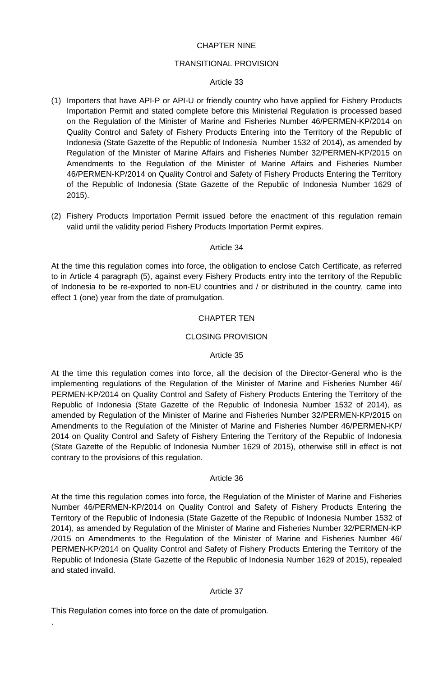# CHAPTER NINE

#### TRANSITIONAL PROVISION

#### Article 33

- (1) Importers that have API-P or API-U or friendly country who have applied for Fishery Products Importation Permit and stated complete before this Ministerial Regulation is processed based on the Regulation of the Minister of Marine and Fisheries Number 46/PERMEN-KP/2014 on Quality Control and Safety of Fishery Products Entering into the Territory of the Republic of Indonesia (State Gazette of the Republic of Indonesia Number 1532 of 2014), as amended by Regulation of the Minister of Marine Affairs and Fisheries Number 32/PERMEN-KP/2015 on Amendments to the Regulation of the Minister of Marine Affairs and Fisheries Number 46/PERMEN-KP/2014 on Quality Control and Safety of Fishery Products Entering the Territory of the Republic of Indonesia (State Gazette of the Republic of Indonesia Number 1629 of 2015).
- (2) Fishery Products Importation Permit issued before the enactment of this regulation remain valid until the validity period Fishery Products Importation Permit expires.

#### Article 34

At the time this regulation comes into force, the obligation to enclose Catch Certificate, as referred to in Article 4 paragraph (5), against every Fishery Products entry into the territory of the Republic of Indonesia to be re-exported to non-EU countries and / or distributed in the country, came into effect 1 (one) year from the date of promulgation.

#### CHAPTER TEN

#### CLOSING PROVISION

#### Article 35

At the time this regulation comes into force, all the decision of the Director-General who is the implementing regulations of the Regulation of the Minister of Marine and Fisheries Number 46/ PERMEN-KP/2014 on Quality Control and Safety of Fishery Products Entering the Territory of the Republic of Indonesia (State Gazette of the Republic of Indonesia Number 1532 of 2014), as amended by Regulation of the Minister of Marine and Fisheries Number 32/PERMEN-KP/2015 on Amendments to the Regulation of the Minister of Marine and Fisheries Number 46/PERMEN-KP/ 2014 on Quality Control and Safety of Fishery Entering the Territory of the Republic of Indonesia (State Gazette of the Republic of Indonesia Number 1629 of 2015), otherwise still in effect is not contrary to the provisions of this regulation.

#### Article 36

At the time this regulation comes into force, the Regulation of the Minister of Marine and Fisheries Number 46/PERMEN-KP/2014 on Quality Control and Safety of Fishery Products Entering the Territory of the Republic of Indonesia (State Gazette of the Republic of Indonesia Number 1532 of 2014), as amended by Regulation of the Minister of Marine and Fisheries Number 32/PERMEN-KP /2015 on Amendments to the Regulation of the Minister of Marine and Fisheries Number 46/ PERMEN-KP/2014 on Quality Control and Safety of Fishery Products Entering the Territory of the Republic of Indonesia (State Gazette of the Republic of Indonesia Number 1629 of 2015), repealed and stated invalid.

#### Article 37

This Regulation comes into force on the date of promulgation.

.